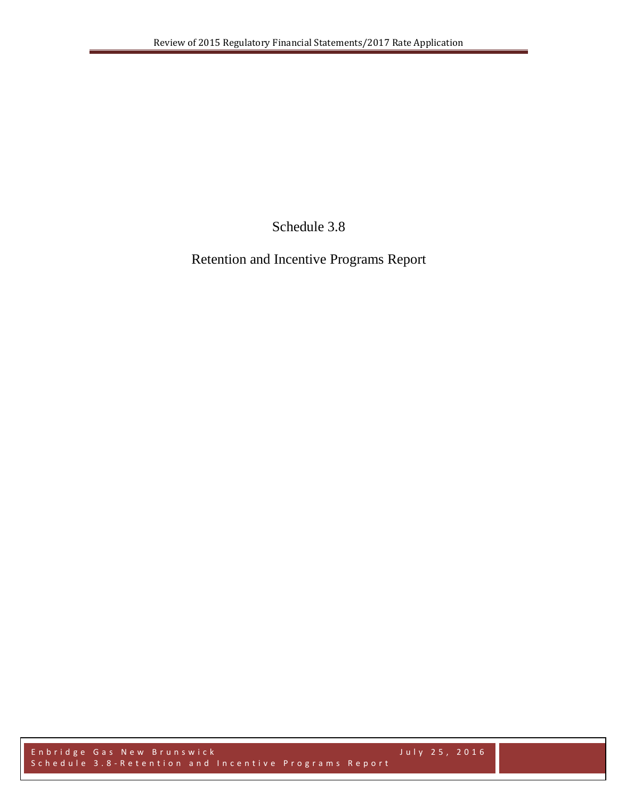Schedule 3.8

Retention and Incentive Programs Report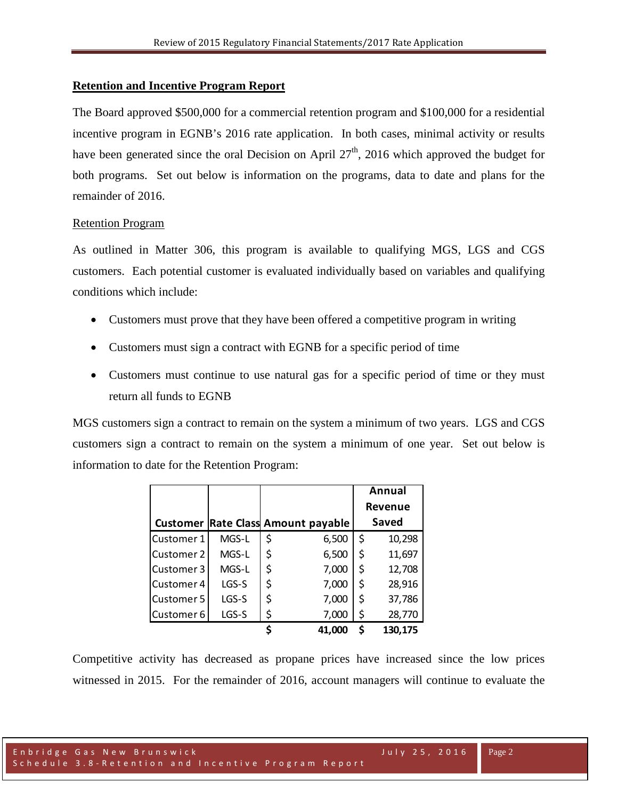## **Retention and Incentive Program Report**

The Board approved \$500,000 for a commercial retention program and \$100,000 for a residential incentive program in EGNB's 2016 rate application. In both cases, minimal activity or results have been generated since the oral Decision on April  $27<sup>th</sup>$ , 2016 which approved the budget for both programs. Set out below is information on the programs, data to date and plans for the remainder of 2016.

## Retention Program

As outlined in Matter 306, this program is available to qualifying MGS, LGS and CGS customers. Each potential customer is evaluated individually based on variables and qualifying conditions which include:

- Customers must prove that they have been offered a competitive program in writing
- Customers must sign a contract with EGNB for a specific period of time
- Customers must continue to use natural gas for a specific period of time or they must return all funds to EGNB

MGS customers sign a contract to remain on the system a minimum of two years. LGS and CGS customers sign a contract to remain on the system a minimum of one year. Set out below is information to date for the Retention Program:

|            |       |                                           | Annual         |         |
|------------|-------|-------------------------------------------|----------------|---------|
|            |       |                                           | <b>Revenue</b> |         |
|            |       | <b>Customer Rate Class Amount payable</b> |                | Saved   |
| Customer 1 | MGS-L | \$<br>6,500                               | \$             | 10,298  |
| Customer 2 | MGS-L | \$<br>6,500                               | \$             | 11,697  |
| Customer 3 | MGS-L | \$<br>7,000                               | \$             | 12,708  |
| Customer 4 | LGS-S | \$<br>7,000                               | \$             | 28,916  |
| Customer 5 | LGS-S | \$<br>7,000                               | \$             | 37,786  |
| Customer 6 | LGS-S | \$<br>7,000                               | \$             | 28,770  |
|            |       | 41,000                                    | \$             | 130,175 |

Competitive activity has decreased as propane prices have increased since the low prices witnessed in 2015. For the remainder of 2016, account managers will continue to evaluate the